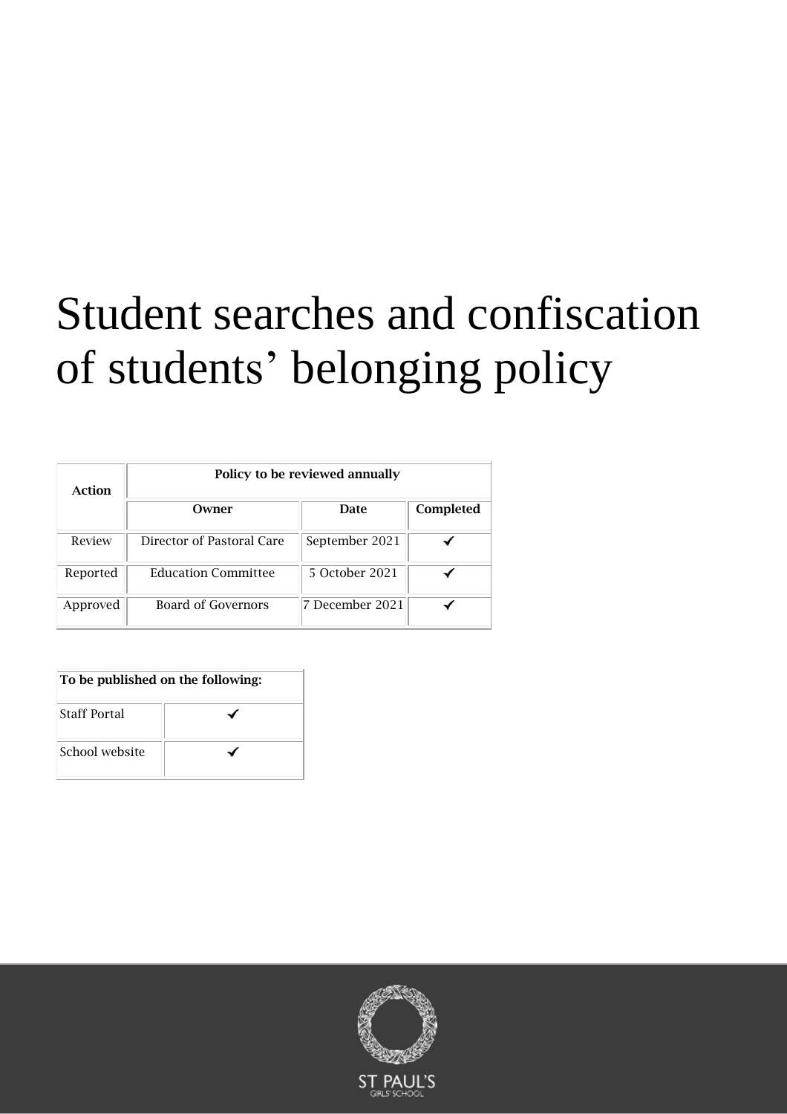# Student searches and confiscation of students' belonging policy

| Action   | Policy to be reviewed annually |                 |           |
|----------|--------------------------------|-----------------|-----------|
|          | Owner                          | <b>Date</b>     | Completed |
| Review   | Director of Pastoral Care      | September 2021  |           |
| Reported | <b>Education Committee</b>     | 5 October 2021  |           |
| Approved | Board of Governors             | 7 December 2021 |           |

| To be published on the following: |  |  |
|-----------------------------------|--|--|
| <b>Staff Portal</b>               |  |  |
| School website                    |  |  |

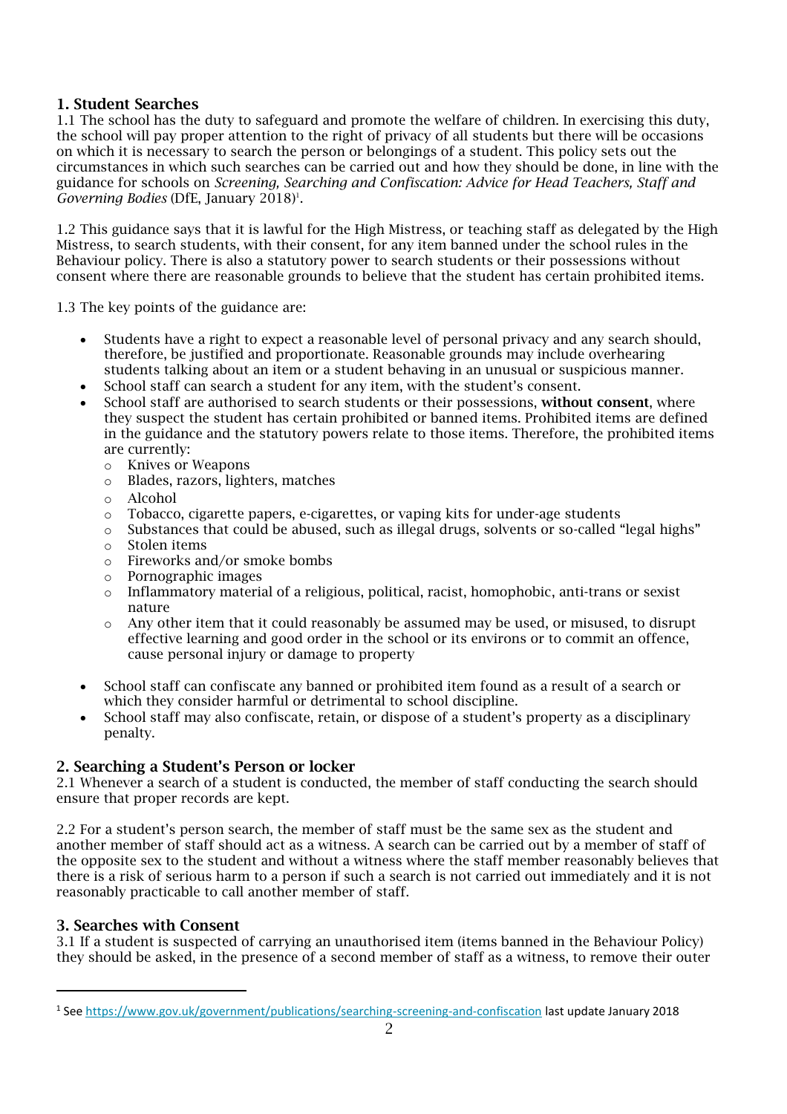# 1. Student Searches

1.1 The school has the duty to safeguard and promote the welfare of children. In exercising this duty, the school will pay proper attention to the right of privacy of all students but there will be occasions on which it is necessary to search the person or belongings of a student. This policy sets out the circumstances in which such searches can be carried out and how they should be done, in line with the guidance for schools on *Screening, Searching and Confiscation: Advice for Head Teachers, Staff and Governing Bodies* (DfE, January 2018) 1 .

1.2 This guidance says that it is lawful for the High Mistress, or teaching staff as delegated by the High Mistress, to search students, with their consent, for any item banned under the school rules in the Behaviour policy. There is also a statutory power to search students or their possessions without consent where there are reasonable grounds to believe that the student has certain prohibited items.

1.3 The key points of the guidance are:

- Students have a right to expect a reasonable level of personal privacy and any search should, therefore, be justified and proportionate. Reasonable grounds may include overhearing students talking about an item or a student behaving in an unusual or suspicious manner.
- School staff can search a student for any item, with the student's consent.
- School staff are authorised to search students or their possessions, without consent, where they suspect the student has certain prohibited or banned items. Prohibited items are defined in the guidance and the statutory powers relate to those items. Therefore, the prohibited items are currently:
	- o Knives or Weapons
	- o Blades, razors, lighters, matches
	- o Alcohol
	- $\circ$  Tobacco, cigarette papers, e-cigarettes, or vaping kits for under-age students
	- o Substances that could be abused, such as illegal drugs, solvents or so-called "legal highs"
	- o Stolen items
	- o Fireworks and/or smoke bombs
	- o Pornographic images
	- o Inflammatory material of a religious, political, racist, homophobic, anti-trans or sexist nature
	- o Any other item that it could reasonably be assumed may be used, or misused, to disrupt effective learning and good order in the school or its environs or to commit an offence, cause personal injury or damage to property
- School staff can confiscate any banned or prohibited item found as a result of a search or which they consider harmful or detrimental to school discipline.
- School staff may also confiscate, retain, or dispose of a student's property as a disciplinary penalty.

# 2. Searching a Student's Person or locker

2.1 Whenever a search of a student is conducted, the member of staff conducting the search should ensure that proper records are kept.

2.2 For a student's person search, the member of staff must be the same sex as the student and another member of staff should act as a witness. A search can be carried out by a member of staff of the opposite sex to the student and without a witness where the staff member reasonably believes that there is a risk of serious harm to a person if such a search is not carried out immediately and it is not reasonably practicable to call another member of staff.

# 3. Searches with Consent

3.1 If a student is suspected of carrying an unauthorised item (items banned in the Behaviour Policy) they should be asked, in the presence of a second member of staff as a witness, to remove their outer

<sup>&</sup>lt;sup>1</sup> See<https://www.gov.uk/government/publications/searching-screening-and-confiscation> l<mark>ast update January 2018</mark>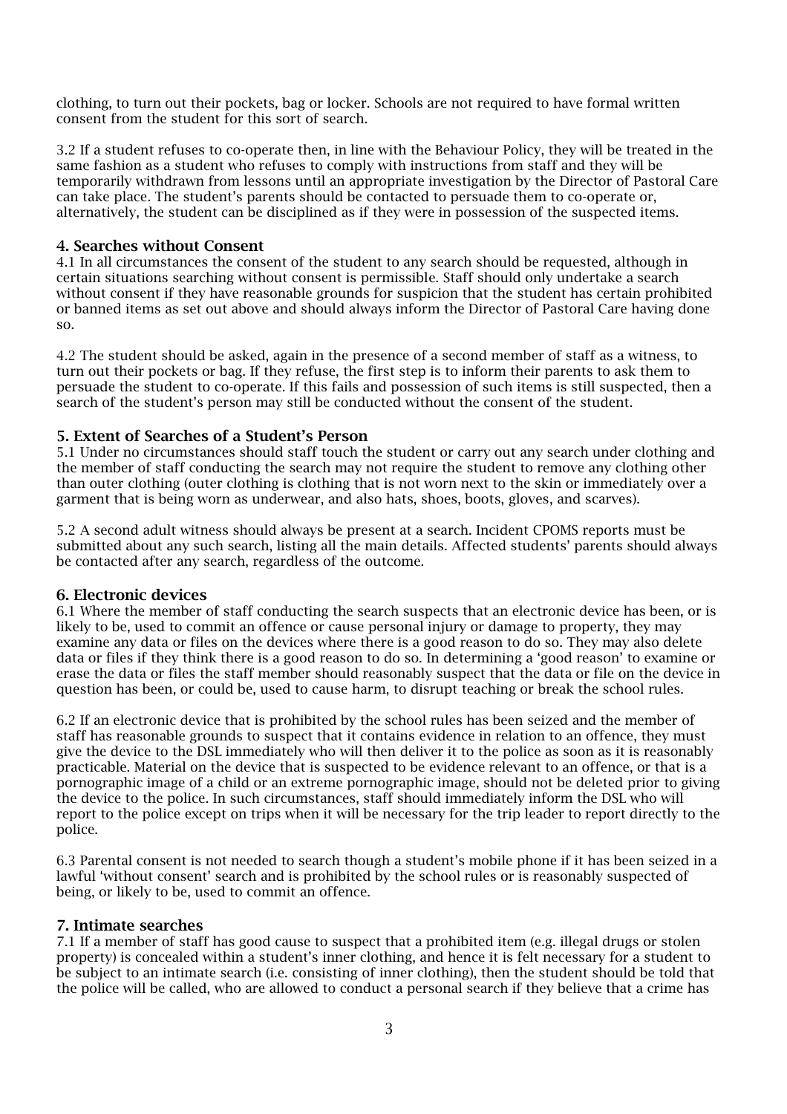clothing, to turn out their pockets, bag or locker. Schools are not required to have formal written consent from the student for this sort of search.

3.2 If a student refuses to co-operate then, in line with the Behaviour Policy, they will be treated in the same fashion as a student who refuses to comply with instructions from staff and they will be temporarily withdrawn from lessons until an appropriate investigation by the Director of Pastoral Care can take place. The student's parents should be contacted to persuade them to co-operate or, alternatively, the student can be disciplined as if they were in possession of the suspected items.

### 4. Searches without Consent

4.1 In all circumstances the consent of the student to any search should be requested, although in certain situations searching without consent is permissible. Staff should only undertake a search without consent if they have reasonable grounds for suspicion that the student has certain prohibited or banned items as set out above and should always inform the Director of Pastoral Care having done so.

4.2 The student should be asked, again in the presence of a second member of staff as a witness, to turn out their pockets or bag. If they refuse, the first step is to inform their parents to ask them to persuade the student to co-operate. If this fails and possession of such items is still suspected, then a search of the student's person may still be conducted without the consent of the student.

### 5. Extent of Searches of a Student's Person

5.1 Under no circumstances should staff touch the student or carry out any search under clothing and the member of staff conducting the search may not require the student to remove any clothing other than outer clothing (outer clothing is clothing that is not worn next to the skin or immediately over a garment that is being worn as underwear, and also hats, shoes, boots, gloves, and scarves).

5.2 A second adult witness should always be present at a search. Incident CPOMS reports must be submitted about any such search, listing all the main details. Affected students' parents should always be contacted after any search, regardless of the outcome.

#### 6. Electronic devices

6.1 Where the member of staff conducting the search suspects that an electronic device has been, or is likely to be, used to commit an offence or cause personal injury or damage to property, they may examine any data or files on the devices where there is a good reason to do so. They may also delete data or files if they think there is a good reason to do so. In determining a 'good reason' to examine or erase the data or files the staff member should reasonably suspect that the data or file on the device in question has been, or could be, used to cause harm, to disrupt teaching or break the school rules.

6.2 If an electronic device that is prohibited by the school rules has been seized and the member of staff has reasonable grounds to suspect that it contains evidence in relation to an offence, they must give the device to the DSL immediately who will then deliver it to the police as soon as it is reasonably practicable. Material on the device that is suspected to be evidence relevant to an offence, or that is a pornographic image of a child or an extreme pornographic image, should not be deleted prior to giving the device to the police. In such circumstances, staff should immediately inform the DSL who will report to the police except on trips when it will be necessary for the trip leader to report directly to the police.

6.3 Parental consent is not needed to search though a student's mobile phone if it has been seized in a lawful 'without consent' search and is prohibited by the school rules or is reasonably suspected of being, or likely to be, used to commit an offence.

#### 7. Intimate searches

7.1 If a member of staff has good cause to suspect that a prohibited item (e.g. illegal drugs or stolen property) is concealed within a student's inner clothing, and hence it is felt necessary for a student to be subject to an intimate search (i.e. consisting of inner clothing), then the student should be told that the police will be called, who are allowed to conduct a personal search if they believe that a crime has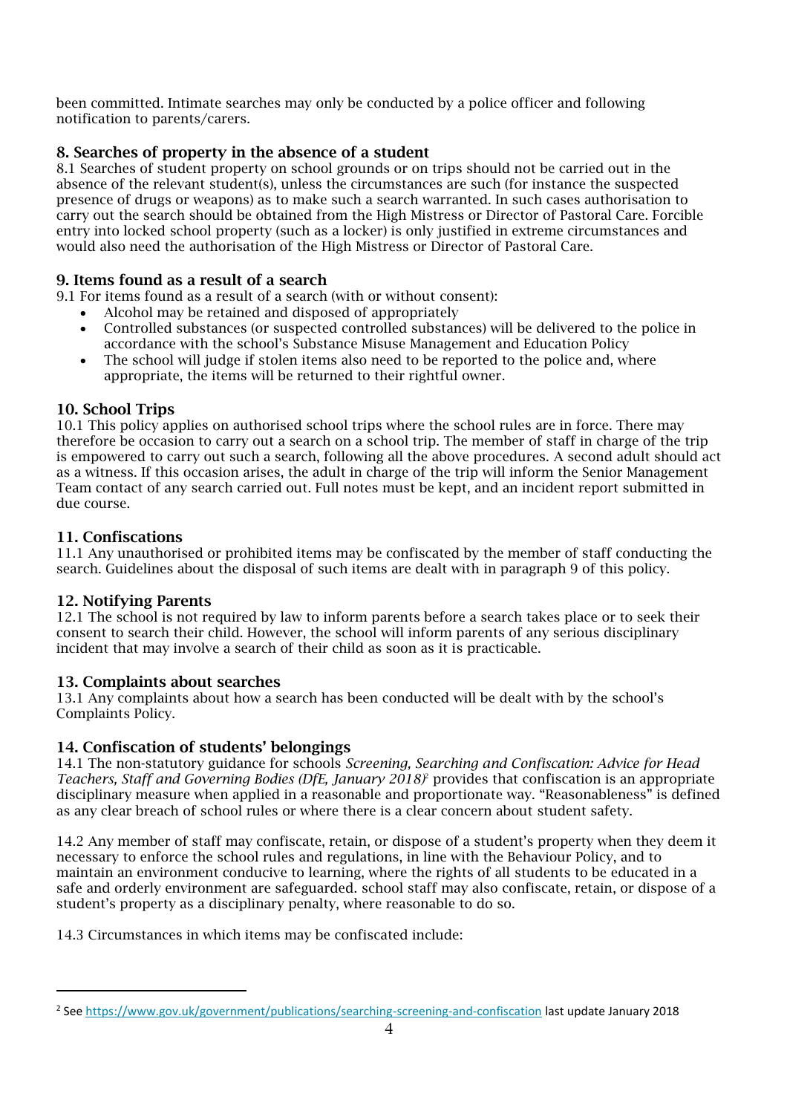been committed. Intimate searches may only be conducted by a police officer and following notification to parents/carers.

# 8. Searches of property in the absence of a student

8.1 Searches of student property on school grounds or on trips should not be carried out in the absence of the relevant student(s), unless the circumstances are such (for instance the suspected presence of drugs or weapons) as to make such a search warranted. In such cases authorisation to carry out the search should be obtained from the High Mistress or Director of Pastoral Care. Forcible entry into locked school property (such as a locker) is only justified in extreme circumstances and would also need the authorisation of the High Mistress or Director of Pastoral Care.

# 9. Items found as a result of a search

9.1 For items found as a result of a search (with or without consent):

- Alcohol may be retained and disposed of appropriately
	- Controlled substances (or suspected controlled substances) will be delivered to the police in accordance with the school's Substance Misuse Management and Education Policy
	- The school will judge if stolen items also need to be reported to the police and, where appropriate, the items will be returned to their rightful owner.

# 10. School Trips

10.1 This policy applies on authorised school trips where the school rules are in force. There may therefore be occasion to carry out a search on a school trip. The member of staff in charge of the trip is empowered to carry out such a search, following all the above procedures. A second adult should act as a witness. If this occasion arises, the adult in charge of the trip will inform the Senior Management Team contact of any search carried out. Full notes must be kept, and an incident report submitted in due course.

# 11. Confiscations

11.1 Any unauthorised or prohibited items may be confiscated by the member of staff conducting the search. Guidelines about the disposal of such items are dealt with in paragraph 9 of this policy.

# 12. Notifying Parents

12.1 The school is not required by law to inform parents before a search takes place or to seek their consent to search their child. However, the school will inform parents of any serious disciplinary incident that may involve a search of their child as soon as it is practicable.

# 13. Complaints about searches

13.1 Any complaints about how a search has been conducted will be dealt with by the school's Complaints Policy.

# 14. Confiscation of students' belongings

14.1 The non-statutory guidance for schools *Screening, Searching and Confiscation: Advice for Head Teachers, Staff and Governing Bodies (DfE, January 2018)* <sup>2</sup> provides that confiscation is an appropriate disciplinary measure when applied in a reasonable and proportionate way. "Reasonableness" is defined as any clear breach of school rules or where there is a clear concern about student safety.

14.2 Any member of staff may confiscate, retain, or dispose of a student's property when they deem it necessary to enforce the school rules and regulations, in line with the Behaviour Policy, and to maintain an environment conducive to learning, where the rights of all students to be educated in a safe and orderly environment are safeguarded. school staff may also confiscate, retain, or dispose of a student's property as a disciplinary penalty, where reasonable to do so.

14.3 Circumstances in which items may be confiscated include:

<sup>&</sup>lt;sup>2</sup> See<https://www.gov.uk/government/publications/searching-screening-and-confiscation> l<mark>ast update January 2018</mark>